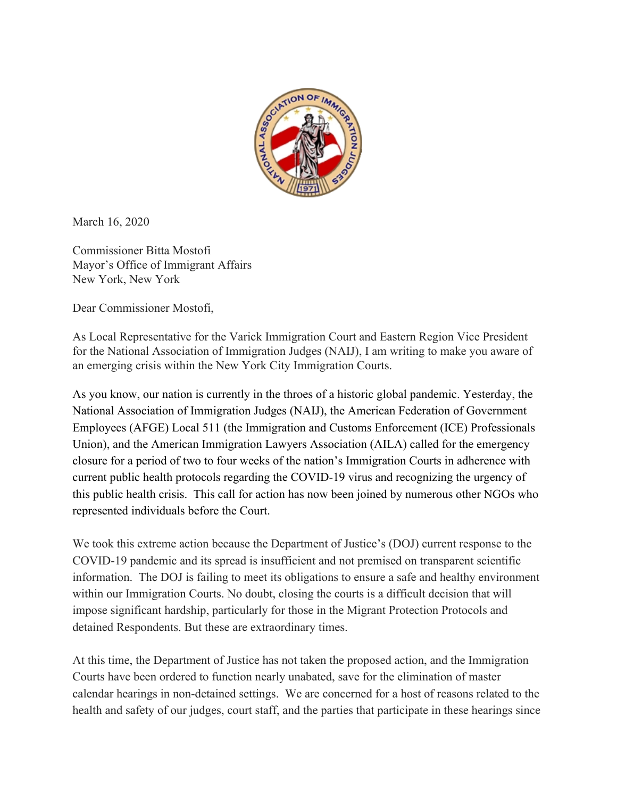

March 16, 2020

Commissioner Bitta Mostofi Mayor's Office of Immigrant Affairs New York, New York

Dear Commissioner Mostofi,

As Local Representative for the Varick Immigration Court and Eastern Region Vice President for the National Association of Immigration Judges (NAIJ), I am writing to make you aware of an emerging crisis within the New York City Immigration Courts.

As you know, our nation is currently in the throes of a historic global pandemic. Yesterday, the National Association of Immigration Judges (NAIJ), the American Federation of Government Employees (AFGE) Local 511 (the Immigration and Customs Enforcement (ICE) Professionals Union), and the American Immigration Lawyers Association (AILA) called for the emergency closure for a period of two to four weeks of the nation's Immigration Courts in adherence with current public health protocols regarding the COVID-19 virus and recognizing the urgency of this public health crisis. This call for action has now been joined by numerous other NGOs who represented individuals before the Court.

We took this extreme action because the Department of Justice's (DOJ) current response to the COVID-19 pandemic and its spread is insufficient and not premised on transparent scientific information. The DOJ is failing to meet its obligations to ensure a safe and healthy environment within our Immigration Courts. No doubt, closing the courts is a difficult decision that will impose significant hardship, particularly for those in the Migrant Protection Protocols and detained Respondents. But these are extraordinary times.

At this time, the Department of Justice has not taken the proposed action, and the Immigration Courts have been ordered to function nearly unabated, save for the elimination of master calendar hearings in non-detained settings. We are concerned for a host of reasons related to the health and safety of our judges, court staff, and the parties that participate in these hearings since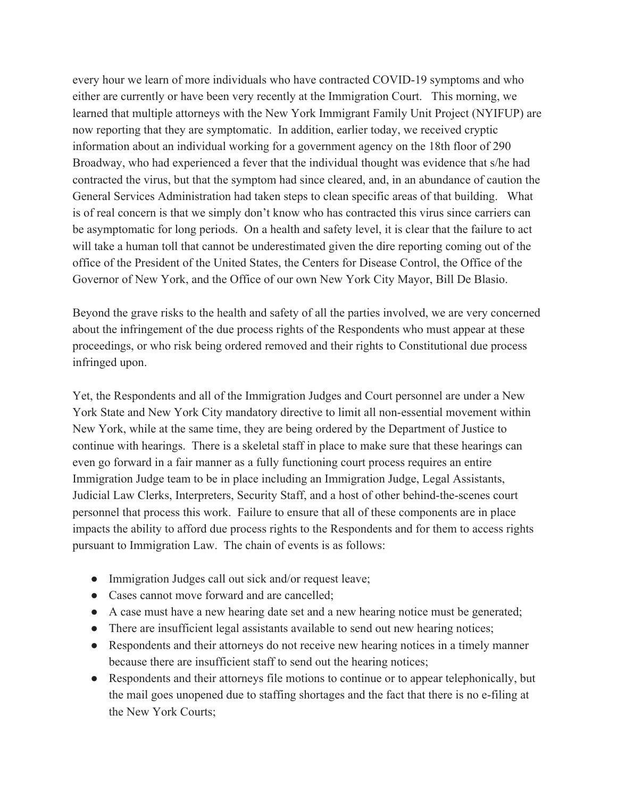every hour we learn of more individuals who have contracted COVID-19 symptoms and who either are currently or have been very recently at the Immigration Court. This morning, we learned that multiple attorneys with the New York Immigrant Family Unit Project (NYIFUP) are now reporting that they are symptomatic. In addition, earlier today, we received cryptic information about an individual working for a government agency on the 18th floor of 290 Broadway, who had experienced a fever that the individual thought was evidence that s/he had contracted the virus, but that the symptom had since cleared, and, in an abundance of caution the General Services Administration had taken steps to clean specific areas of that building. What is of real concern is that we simply don't know who has contracted this virus since carriers can be asymptomatic for long periods. On a health and safety level, it is clear that the failure to act will take a human toll that cannot be underestimated given the dire reporting coming out of the office of the President of the United States, the Centers for Disease Control, the Office of the Governor of New York, and the Office of our own New York City Mayor, Bill De Blasio.

Beyond the grave risks to the health and safety of all the parties involved, we are very concerned about the infringement of the due process rights of the Respondents who must appear at these proceedings, or who risk being ordered removed and their rights to Constitutional due process infringed upon.

Yet, the Respondents and all of the Immigration Judges and Court personnel are under a New York State and New York City mandatory directive to limit all non-essential movement within New York, while at the same time, they are being ordered by the Department of Justice to continue with hearings. There is a skeletal staff in place to make sure that these hearings can even go forward in a fair manner as a fully functioning court process requires an entire Immigration Judge team to be in place including an Immigration Judge, Legal Assistants, Judicial Law Clerks, Interpreters, Security Staff, and a host of other behind-the-scenes court personnel that process this work. Failure to ensure that all of these components are in place impacts the ability to afford due process rights to the Respondents and for them to access rights pursuant to Immigration Law. The chain of events is as follows:

- Immigration Judges call out sick and/or request leave;
- Cases cannot move forward and are cancelled:
- A case must have a new hearing date set and a new hearing notice must be generated;
- There are insufficient legal assistants available to send out new hearing notices;
- Respondents and their attorneys do not receive new hearing notices in a timely manner because there are insufficient staff to send out the hearing notices;
- Respondents and their attorneys file motions to continue or to appear telephonically, but the mail goes unopened due to staffing shortages and the fact that there is no e-filing at the New York Courts;